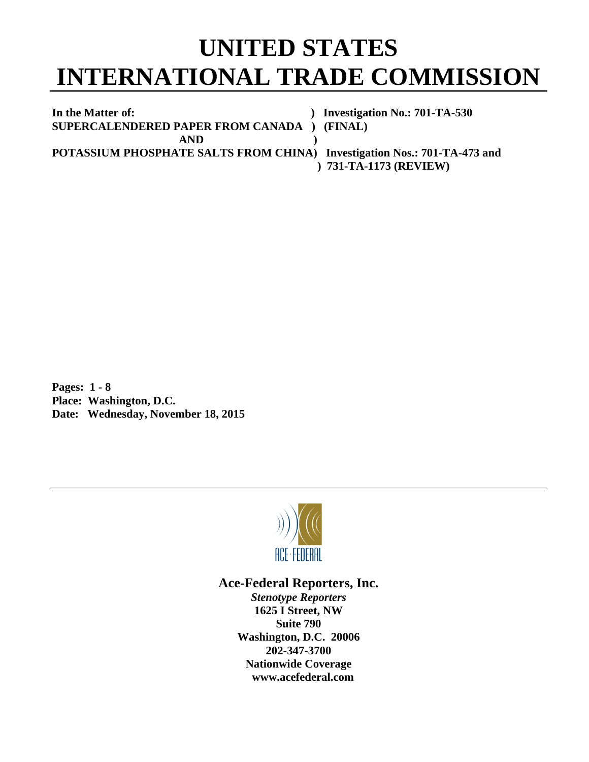## **UNITED STATES INTERNATIONAL TRADE COMMISSION**

**In the Matter of: ) Investigation No.: 701-TA-530 SUPERCALENDERED PAPER FROM CANADA ) (FINAL) AND ) POTASSIUM PHOSPHATE SALTS FROM CHINA) Investigation Nos.: 701-TA-473 and ) 731-TA-1173 (REVIEW)** 

**Pages: 1 - 8 Place: Washington, D.C. Date: Wednesday, November 18, 2015** 



## **Ace-Federal Reporters, Inc.**

*Stenotype Reporters*  **1625 I Street, NW Suite 790 Washington, D.C. 20006 202-347-3700 Nationwide Coverage www.acefederal.com**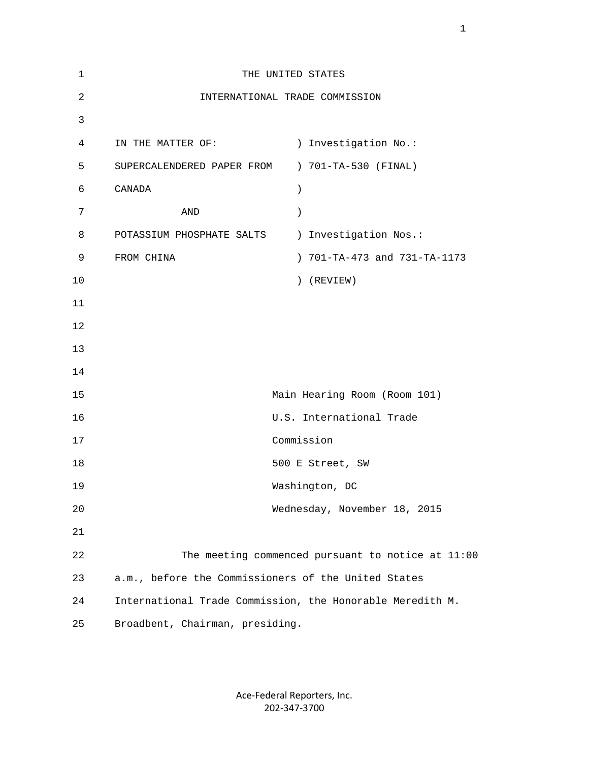| $\mathbf{1}$ |                                                     | THE UNITED STATES                                         |
|--------------|-----------------------------------------------------|-----------------------------------------------------------|
| 2            |                                                     | INTERNATIONAL TRADE COMMISSION                            |
| 3            |                                                     |                                                           |
| 4            | IN THE MATTER OF:                                   | ) Investigation No.:                                      |
| 5            | SUPERCALENDERED PAPER FROM                          | ) 701-TA-530 (FINAL)                                      |
| 6            | CANADA                                              | $\left( \right)$                                          |
| 7            | AND                                                 | $\mathcal{E}$                                             |
| 8            | POTASSIUM PHOSPHATE SALTS                           | ) Investigation Nos.:                                     |
| 9            | FROM CHINA                                          | 701-TA-473 and 731-TA-1173<br>$\lambda$                   |
| 10           |                                                     | (REVIEW)<br>$\left( \right)$                              |
| 11           |                                                     |                                                           |
| 12           |                                                     |                                                           |
| 13           |                                                     |                                                           |
| 14           |                                                     |                                                           |
| 15           |                                                     | Main Hearing Room (Room 101)                              |
| 16           |                                                     | U.S. International Trade                                  |
| 17           |                                                     | Commission                                                |
| 18           |                                                     | 500 E Street, SW                                          |
| 19           |                                                     | Washington, DC                                            |
| 20           |                                                     | Wednesday, November 18, 2015                              |
| 21           |                                                     |                                                           |
| 22           |                                                     | The meeting commenced pursuant to notice at 11:00         |
| 23           | a.m., before the Commissioners of the United States |                                                           |
| 24           |                                                     | International Trade Commission, the Honorable Meredith M. |
| 25           | Broadbent, Chairman, presiding.                     |                                                           |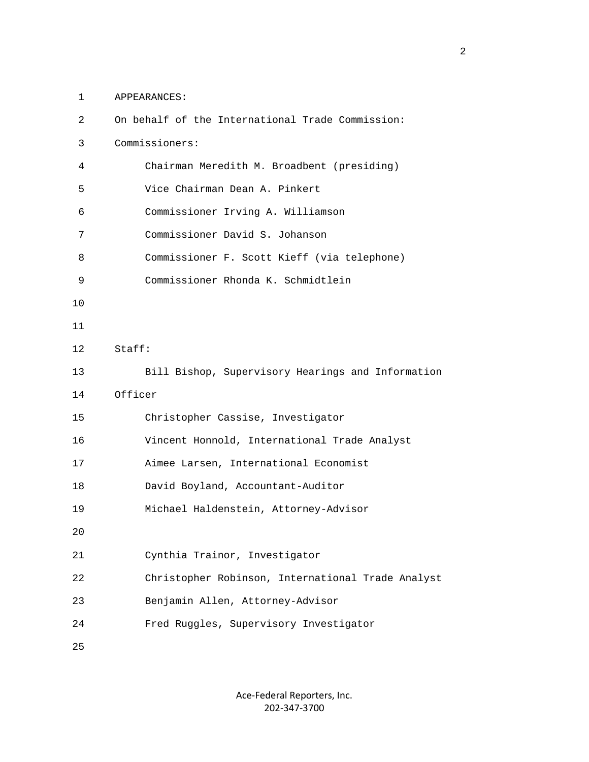1 APPEARANCES:

| 2  | On behalf of the International Trade Commission:  |
|----|---------------------------------------------------|
| 3  | Commissioners:                                    |
| 4  | Chairman Meredith M. Broadbent (presiding)        |
| 5  | Vice Chairman Dean A. Pinkert                     |
| 6  | Commissioner Irving A. Williamson                 |
| 7  | Commissioner David S. Johanson                    |
| 8  | Commissioner F. Scott Kieff (via telephone)       |
| 9  | Commissioner Rhonda K. Schmidtlein                |
| 10 |                                                   |
| 11 |                                                   |
| 12 | Staff:                                            |
| 13 | Bill Bishop, Supervisory Hearings and Information |
| 14 | Officer                                           |
| 15 | Christopher Cassise, Investigator                 |
| 16 | Vincent Honnold, International Trade Analyst      |
| 17 | Aimee Larsen, International Economist             |
| 18 | David Boyland, Accountant-Auditor                 |
| 19 | Michael Haldenstein, Attorney-Advisor             |
| 20 |                                                   |
| 21 | Cynthia Trainor, Investigator                     |
| 22 | Christopher Robinson, International Trade Analyst |
| 23 | Benjamin Allen, Attorney-Advisor                  |
| 24 | Fred Ruggles, Supervisory Investigator            |
| 25 |                                                   |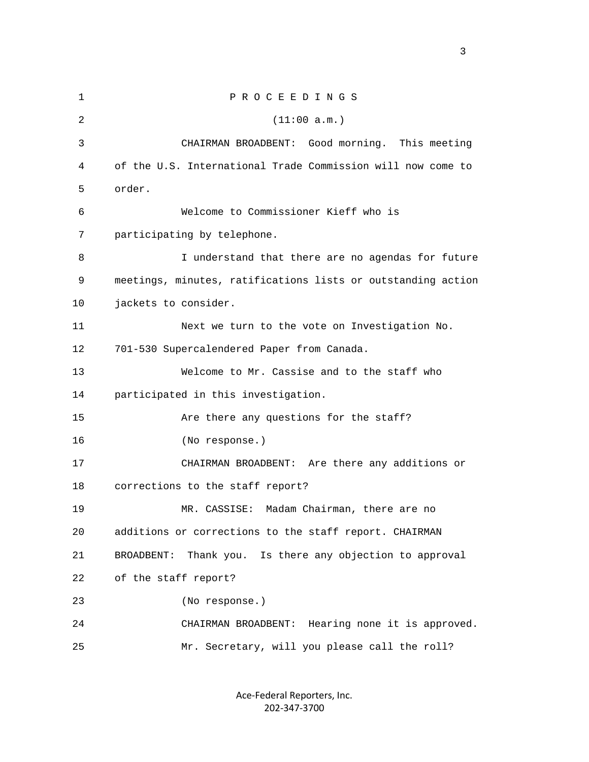1 P R O C E E D I N G S 2 (11:00 a.m.) 3 CHAIRMAN BROADBENT: Good morning. This meeting 4 of the U.S. International Trade Commission will now come to 5 order. 6 Welcome to Commissioner Kieff who is 7 participating by telephone. 8 I understand that there are no agendas for future 9 meetings, minutes, ratifications lists or outstanding action 10 jackets to consider. 11 Next we turn to the vote on Investigation No. 12 701-530 Supercalendered Paper from Canada. 13 Welcome to Mr. Cassise and to the staff who 14 participated in this investigation. 15 Are there any questions for the staff? 16 (No response.) 17 CHAIRMAN BROADBENT: Are there any additions or 18 corrections to the staff report? 19 MR. CASSISE: Madam Chairman, there are no 20 additions or corrections to the staff report. CHAIRMAN 21 BROADBENT: Thank you. Is there any objection to approval 22 of the staff report? 23 (No response.) 24 CHAIRMAN BROADBENT: Hearing none it is approved. 25 Mr. Secretary, will you please call the roll?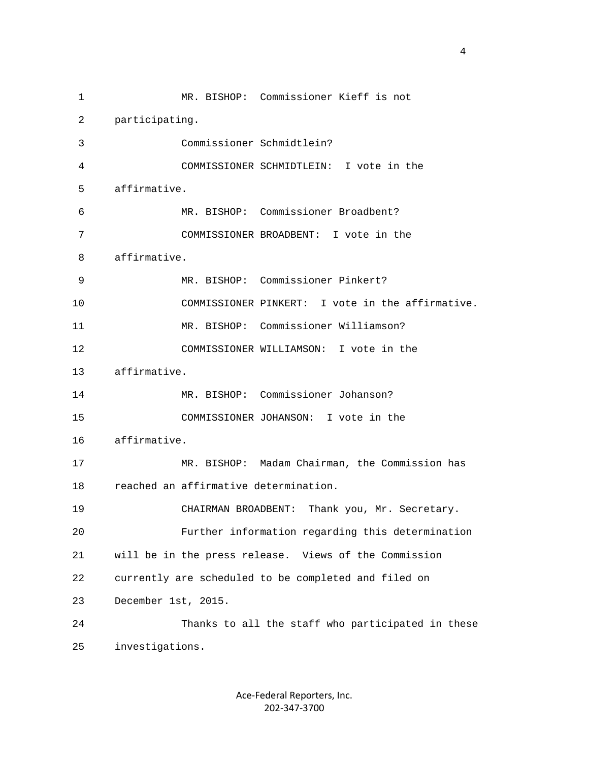1 MR. BISHOP: Commissioner Kieff is not 2 participating. 3 Commissioner Schmidtlein? 4 COMMISSIONER SCHMIDTLEIN: I vote in the 5 affirmative. 6 MR. BISHOP: Commissioner Broadbent? 7 COMMISSIONER BROADBENT: I vote in the 8 affirmative. 9 MR. BISHOP: Commissioner Pinkert? 10 COMMISSIONER PINKERT: I vote in the affirmative. 11 MR. BISHOP: Commissioner Williamson? 12 COMMISSIONER WILLIAMSON: I vote in the 13 affirmative. 14 MR. BISHOP: Commissioner Johanson? 15 COMMISSIONER JOHANSON: I vote in the 16 affirmative. 17 MR. BISHOP: Madam Chairman, the Commission has 18 reached an affirmative determination. 19 CHAIRMAN BROADBENT: Thank you, Mr. Secretary. 20 Further information regarding this determination 21 will be in the press release. Views of the Commission 22 currently are scheduled to be completed and filed on 23 December 1st, 2015. 24 Thanks to all the staff who participated in these 25 investigations.

> Ace‐Federal Reporters, Inc. 202‐347‐3700

4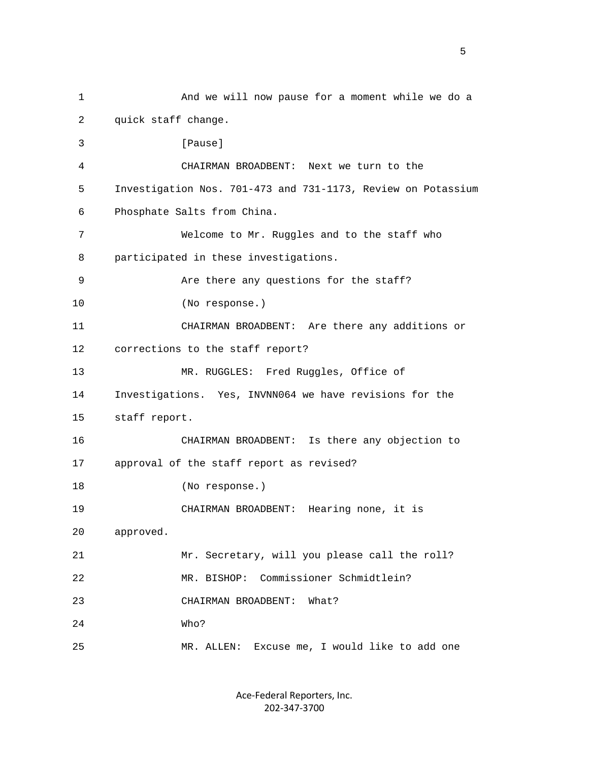| $\mathbf 1$ | And we will now pause for a moment while we do a             |  |
|-------------|--------------------------------------------------------------|--|
| 2           | quick staff change.                                          |  |
| 3           | [Pause]                                                      |  |
| 4           | CHAIRMAN BROADBENT: Next we turn to the                      |  |
| 5           | Investigation Nos. 701-473 and 731-1173, Review on Potassium |  |
| 6           | Phosphate Salts from China.                                  |  |
| 7           | Welcome to Mr. Ruggles and to the staff who                  |  |
| 8           | participated in these investigations.                        |  |
| 9           | Are there any questions for the staff?                       |  |
| 10          | (No response.)                                               |  |
| 11          | CHAIRMAN BROADBENT: Are there any additions or               |  |
| 12          | corrections to the staff report?                             |  |
| 13          | MR. RUGGLES: Fred Ruggles, Office of                         |  |
| 14          | Investigations. Yes, INVNN064 we have revisions for the      |  |
| 15          | staff report.                                                |  |
| 16          | CHAIRMAN BROADBENT: Is there any objection to                |  |
| 17          | approval of the staff report as revised?                     |  |
| 18          | (No response.)                                               |  |
| 19          | CHAIRMAN BROADBENT: Hearing none, it is                      |  |
| 20          | approved.                                                    |  |
| 21          | Mr. Secretary, will you please call the roll?                |  |
| 22          | MR. BISHOP: Commissioner Schmidtlein?                        |  |
| 23          | CHAIRMAN BROADBENT:<br>What?                                 |  |
| 24          | Who?                                                         |  |
| 25          | Excuse me, I would like to add one<br>MR. ALLEN:             |  |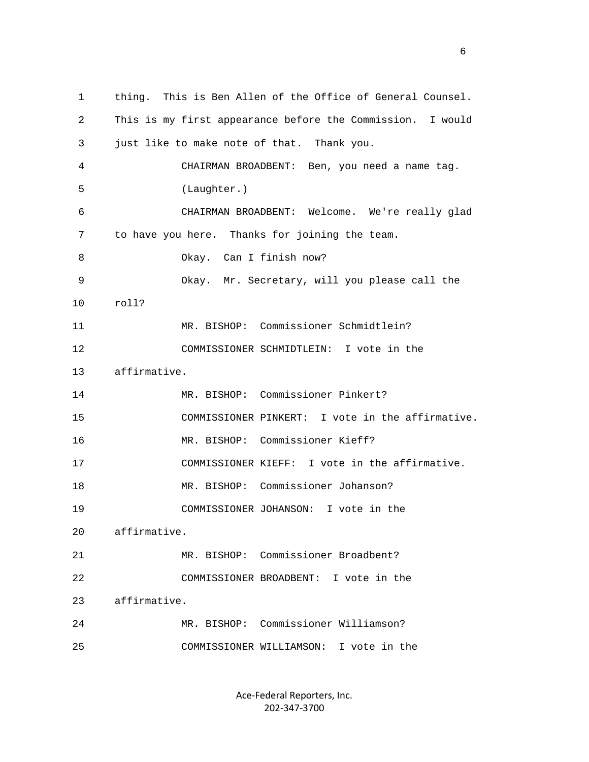1 thing. This is Ben Allen of the Office of General Counsel. 2 This is my first appearance before the Commission. I would 3 just like to make note of that. Thank you. 4 CHAIRMAN BROADBENT: Ben, you need a name tag. 5 (Laughter.) 6 CHAIRMAN BROADBENT: Welcome. We're really glad 7 to have you here. Thanks for joining the team. 8 Okay. Can I finish now? 9 Okay. Mr. Secretary, will you please call the 10 roll? 11 MR. BISHOP: Commissioner Schmidtlein? 12 COMMISSIONER SCHMIDTLEIN: I vote in the 13 affirmative. 14 MR. BISHOP: Commissioner Pinkert? 15 COMMISSIONER PINKERT: I vote in the affirmative. 16 MR. BISHOP: Commissioner Kieff? 17 COMMISSIONER KIEFF: I vote in the affirmative. 18 MR. BISHOP: Commissioner Johanson? 19 COMMISSIONER JOHANSON: I vote in the 20 affirmative. 21 MR. BISHOP: Commissioner Broadbent? 22 COMMISSIONER BROADBENT: I vote in the 23 affirmative. 24 MR. BISHOP: Commissioner Williamson? 25 COMMISSIONER WILLIAMSON: I vote in the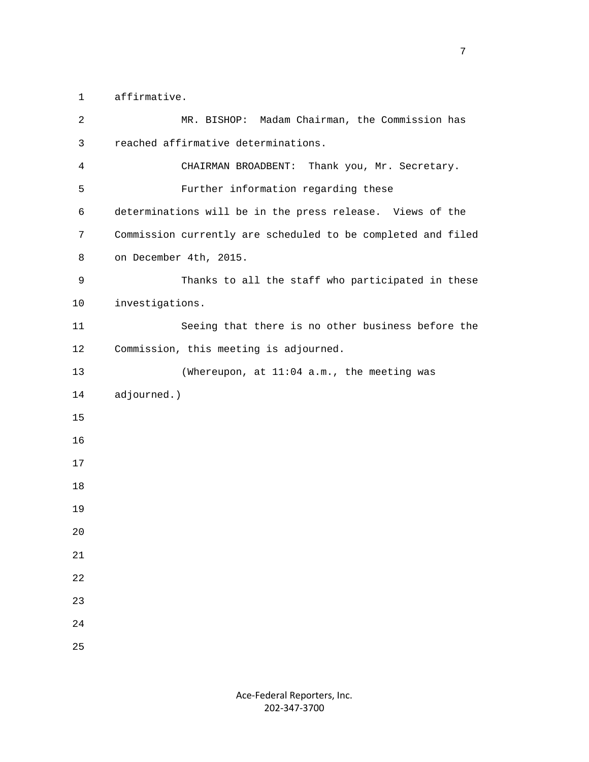1 affirmative.

| $\sqrt{2}$  | MR. BISHOP: Madam Chairman, the Commission has               |
|-------------|--------------------------------------------------------------|
| 3           | reached affirmative determinations.                          |
| 4           | CHAIRMAN BROADBENT: Thank you, Mr. Secretary.                |
| 5           | Further information regarding these                          |
| 6           | determinations will be in the press release. Views of the    |
| 7           | Commission currently are scheduled to be completed and filed |
| 8           | on December 4th, 2015.                                       |
| 9           | Thanks to all the staff who participated in these            |
| 10          | investigations.                                              |
| 11          | Seeing that there is no other business before the            |
| 12          | Commission, this meeting is adjourned.                       |
| 13          | (Whereupon, at 11:04 a.m., the meeting was                   |
| 14          | adjourned.)                                                  |
| 15          |                                                              |
| 16          |                                                              |
| 17          |                                                              |
| 18          |                                                              |
| 19          |                                                              |
| 20          |                                                              |
| $2\sqrt{1}$ |                                                              |
| 22          |                                                              |
| 23          |                                                              |
| 24          |                                                              |
| 25          |                                                              |